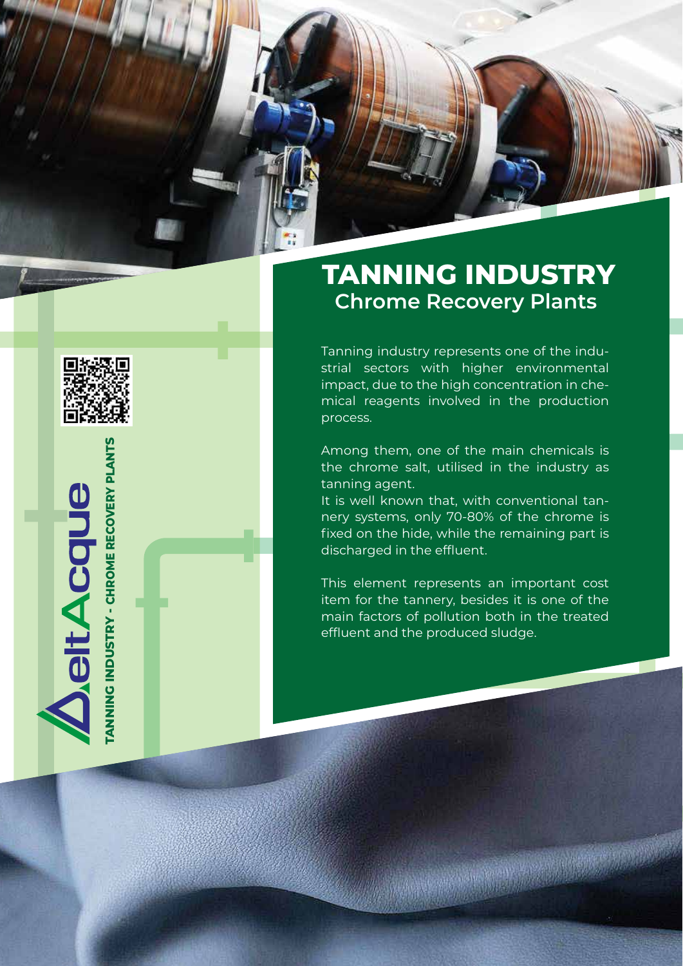

**TANNING INDUSTRY - CHROME RECOVERY PLANTS**

ANNING INDUSTRY - CHROME RECOVERY PLANTS

**JeltAcque** 

## **TANNING INDUSTRY Chrome Recovery Plants o**

Tanning industry represents one of the indu strial sectors with higher environmental impact, due to the high concentration in chemical reagents involved in the production process.

Among them, one of the main chemicals is the chrome salt, utilised in the industry as tanning agent.

It is well known that, with conventional tannery systems, only 70-80% of the chrome is fixed on the hide, while the remaining part is discharged in the effluent.

This element represents an important cost item for the tannery, besides it is one of the main factors of pollution both in the treated effluent and the produced sludge.